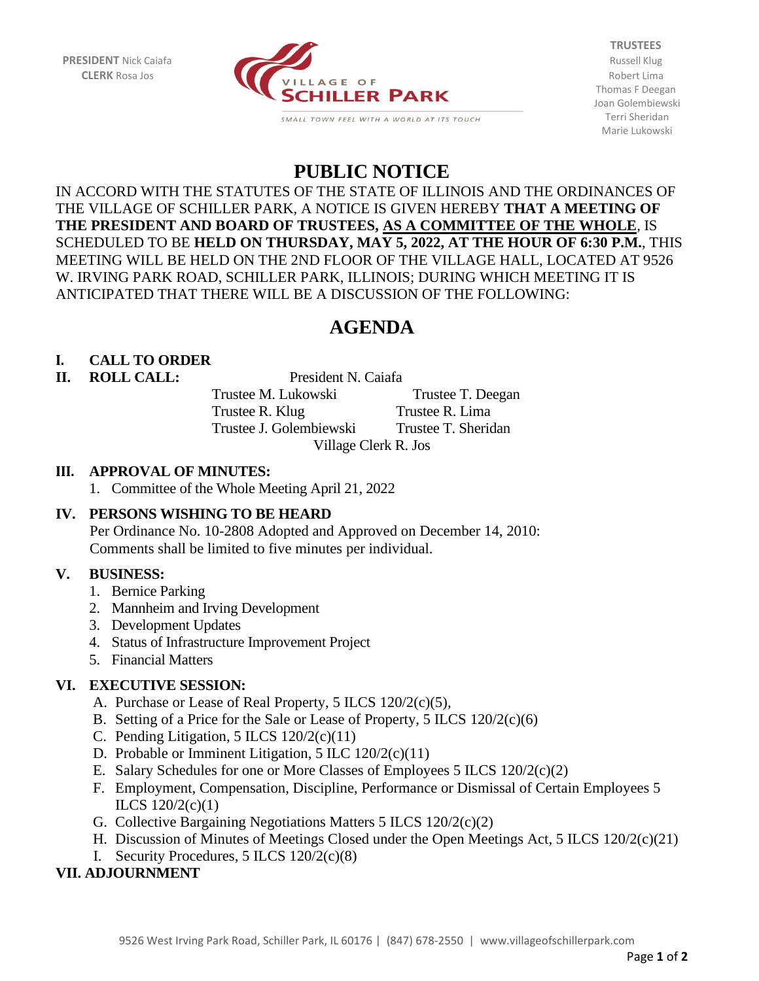

**TRUSTEES** Thomas F Deegan Joan Golembiewski Terri Sheridan Marie Lukowski

## **PUBLIC NOTICE**

IN ACCORD WITH THE STATUTES OF THE STATE OF ILLINOIS AND THE ORDINANCES OF THE VILLAGE OF SCHILLER PARK, A NOTICE IS GIVEN HEREBY **THAT A MEETING OF THE PRESIDENT AND BOARD OF TRUSTEES, AS A COMMITTEE OF THE WHOLE**, IS SCHEDULED TO BE **HELD ON THURSDAY, MAY 5, 2022, AT THE HOUR OF 6:30 P.M.**, THIS MEETING WILL BE HELD ON THE 2ND FLOOR OF THE VILLAGE HALL, LOCATED AT 9526 W. IRVING PARK ROAD, SCHILLER PARK, ILLINOIS; DURING WHICH MEETING IT IS ANTICIPATED THAT THERE WILL BE A DISCUSSION OF THE FOLLOWING:

# **AGENDA**

## **I. CALL TO ORDER**

#### **II. ROLL CALL:** President N. Caiafa

Trustee M. Lukowski Trustee T. Deegan Trustee R. Klug Trustee R. Lima Trustee J. Golembiewski Trustee T. Sheridan Village Clerk R. Jos

#### **III. APPROVAL OF MINUTES:**

1. Committee of the Whole Meeting April 21, 2022

## **IV. PERSONS WISHING TO BE HEARD**

Per Ordinance No. 10-2808 Adopted and Approved on December 14, 2010: Comments shall be limited to five minutes per individual.

#### **V. BUSINESS:**

- 1. Bernice Parking
- 2. Mannheim and Irving Development
- 3. Development Updates
- 4. Status of Infrastructure Improvement Project
- 5. Financial Matters

## **VI. EXECUTIVE SESSION:**

- A. Purchase or Lease of Real Property, 5 ILCS 120/2(c)(5),
- B. Setting of a Price for the Sale or Lease of Property, 5 ILCS 120/2(c)(6)
- C. Pending Litigation,  $5$  ILCS  $120/2(c)(11)$
- D. Probable or Imminent Litigation, 5 ILC 120/2(c)(11)
- E. Salary Schedules for one or More Classes of Employees 5 ILCS 120/2(c)(2)
- F. Employment, Compensation, Discipline, Performance or Dismissal of Certain Employees 5 ILCS 120/2(c)(1)
- G. Collective Bargaining Negotiations Matters 5 ILCS 120/2(c)(2)
- H. Discussion of Minutes of Meetings Closed under the Open Meetings Act, 5 ILCS 120/2(c)(21)
- I. Security Procedures, 5 ILCS 120/2(c)(8)

## **VII. ADJOURNMENT**